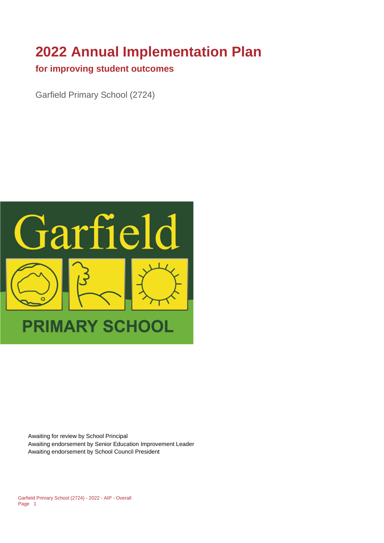# **2022 Annual Implementation Plan**

## **for improving student outcomes**

Garfield Primary School (2724)



Awaiting for review by School Principal Awaiting endorsement by Senior Education Improvement Leader Awaiting endorsement by School Council President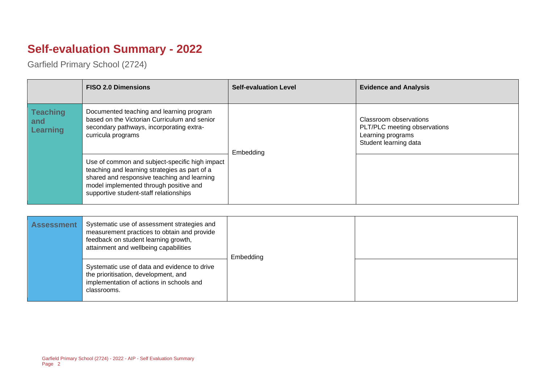# **Self-evaluation Summary - 2022**

Garfield Primary School (2724)

|                                    | <b>FISO 2.0 Dimensions</b>                                                                                                                                                                                                         | <b>Self-evaluation Level</b> | <b>Evidence and Analysis</b>                                                                         |
|------------------------------------|------------------------------------------------------------------------------------------------------------------------------------------------------------------------------------------------------------------------------------|------------------------------|------------------------------------------------------------------------------------------------------|
| <b>Teaching</b><br>and<br>Learning | Documented teaching and learning program<br>based on the Victorian Curriculum and senior<br>secondary pathways, incorporating extra-<br>curricula programs                                                                         | Embedding                    | Classroom observations<br>PLT/PLC meeting observations<br>Learning programs<br>Student learning data |
|                                    | Use of common and subject-specific high impact<br>teaching and learning strategies as part of a<br>shared and responsive teaching and learning<br>model implemented through positive and<br>supportive student-staff relationships |                              |                                                                                                      |

| <b>Assessment</b> | Systematic use of assessment strategies and<br>measurement practices to obtain and provide<br>feedback on student learning growth,<br>attainment and wellbeing capabilities | Embedding |  |
|-------------------|-----------------------------------------------------------------------------------------------------------------------------------------------------------------------------|-----------|--|
|                   | Systematic use of data and evidence to drive<br>the prioritisation, development, and<br>implementation of actions in schools and<br>classrooms.                             |           |  |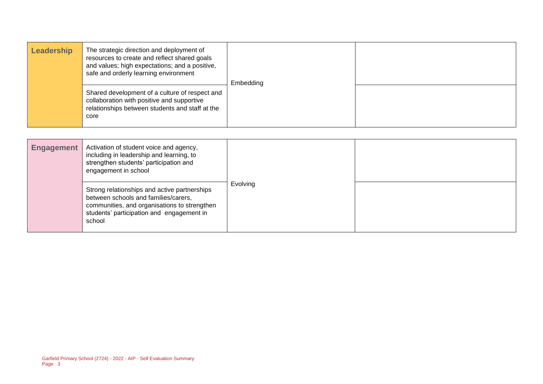| Leadership | The strategic direction and deployment of<br>resources to create and reflect shared goals<br>and values; high expectations; and a positive,<br>safe and orderly learning environment | Embedding |  |
|------------|--------------------------------------------------------------------------------------------------------------------------------------------------------------------------------------|-----------|--|
|            | Shared development of a culture of respect and<br>collaboration with positive and supportive<br>relationships between students and staff at the<br>core                              |           |  |

| <b>Engagement</b> | Activation of student voice and agency,<br>including in leadership and learning, to<br>strengthen students' participation and<br>engagement in school                                       |                 |  |
|-------------------|---------------------------------------------------------------------------------------------------------------------------------------------------------------------------------------------|-----------------|--|
|                   | Strong relationships and active partnerships<br>between schools and families/carers,<br>communities, and organisations to strengthen<br>students' participation and engagement in<br>school | <b>Evolving</b> |  |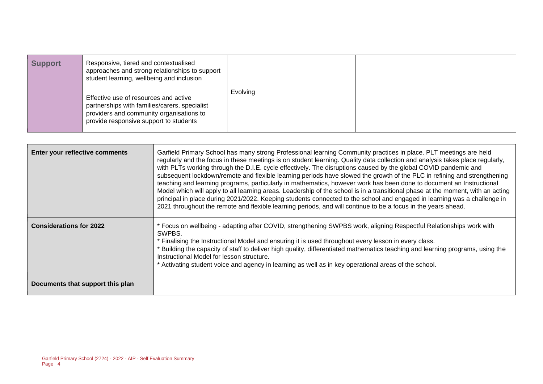| <b>Support</b> | Responsive, tiered and contextualised<br>approaches and strong relationships to support<br>student learning, wellbeing and inclusion                                         |          |  |
|----------------|------------------------------------------------------------------------------------------------------------------------------------------------------------------------------|----------|--|
|                | Effective use of resources and active<br>partnerships with families/carers, specialist<br>providers and community organisations to<br>provide responsive support to students | Evolving |  |

| Enter your reflective comments   | Garfield Primary School has many strong Professional learning Community practices in place. PLT meetings are held<br>regularly and the focus in these meetings is on student learning. Quality data collection and analysis takes place regularly,<br>with PLTs working through the D.I.E. cycle effectively. The disruptions caused by the global COVID pandemic and<br>subsequent lockdown/remote and flexible learning periods have slowed the growth of the PLC in refining and strengthening<br>teaching and learning programs, particularly in mathematics, however work has been done to document an Instructional<br>Model which will apply to all learning areas. Leadership of the school is in a transitional phase at the moment, with an acting<br>principal in place during 2021/2022. Keeping students connected to the school and engaged in learning was a challenge in<br>2021 throughout the remote and flexible learning periods, and will continue to be a focus in the years ahead. |
|----------------------------------|-----------------------------------------------------------------------------------------------------------------------------------------------------------------------------------------------------------------------------------------------------------------------------------------------------------------------------------------------------------------------------------------------------------------------------------------------------------------------------------------------------------------------------------------------------------------------------------------------------------------------------------------------------------------------------------------------------------------------------------------------------------------------------------------------------------------------------------------------------------------------------------------------------------------------------------------------------------------------------------------------------------|
| <b>Considerations for 2022</b>   | * Focus on wellbeing - adapting after COVID, strengthening SWPBS work, aligning Respectful Relationships work with<br>SWPBS.<br>* Finalising the Instructional Model and ensuring it is used throughout every lesson in every class.<br>Building the capacity of staff to deliver high quality, differentiated mathematics teaching and learning programs, using the<br>Instructional Model for lesson structure.<br>* Activating student voice and agency in learning as well as in key operational areas of the school.                                                                                                                                                                                                                                                                                                                                                                                                                                                                                 |
| Documents that support this plan |                                                                                                                                                                                                                                                                                                                                                                                                                                                                                                                                                                                                                                                                                                                                                                                                                                                                                                                                                                                                           |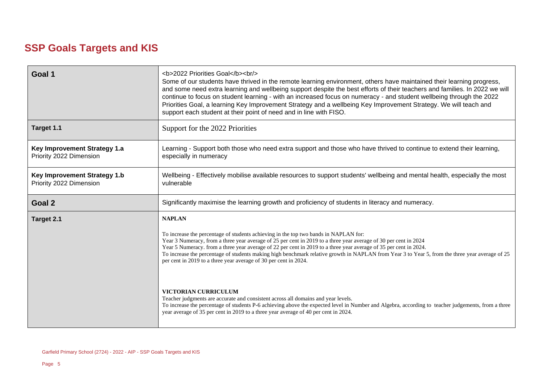# **SSP Goals Targets and KIS**

| Goal 1                                                                                                                                                                                                                                                                                                                                                                                                                                                                                                                                                                              | <b>2022 Priorities Goal</b><br><br><br>Some of our students have thrived in the remote learning environment, others have maintained their learning progress,<br>and some need extra learning and wellbeing support despite the best efforts of their teachers and families. In 2022 we will<br>continue to focus on student learning - with an increased focus on numeracy - and student wellbeing through the 2022<br>Priorities Goal, a learning Key Improvement Strategy and a wellbeing Key Improvement Strategy. We will teach and<br>support each student at their point of need and in line with FISO. |  |
|-------------------------------------------------------------------------------------------------------------------------------------------------------------------------------------------------------------------------------------------------------------------------------------------------------------------------------------------------------------------------------------------------------------------------------------------------------------------------------------------------------------------------------------------------------------------------------------|---------------------------------------------------------------------------------------------------------------------------------------------------------------------------------------------------------------------------------------------------------------------------------------------------------------------------------------------------------------------------------------------------------------------------------------------------------------------------------------------------------------------------------------------------------------------------------------------------------------|--|
| Target 1.1                                                                                                                                                                                                                                                                                                                                                                                                                                                                                                                                                                          | Support for the 2022 Priorities                                                                                                                                                                                                                                                                                                                                                                                                                                                                                                                                                                               |  |
| Key Improvement Strategy 1.a<br>Priority 2022 Dimension                                                                                                                                                                                                                                                                                                                                                                                                                                                                                                                             | Learning - Support both those who need extra support and those who have thrived to continue to extend their learning,<br>especially in numeracy                                                                                                                                                                                                                                                                                                                                                                                                                                                               |  |
| <b>Key Improvement Strategy 1.b</b><br>Priority 2022 Dimension                                                                                                                                                                                                                                                                                                                                                                                                                                                                                                                      | Wellbeing - Effectively mobilise available resources to support students' wellbeing and mental health, especially the most<br>vulnerable                                                                                                                                                                                                                                                                                                                                                                                                                                                                      |  |
| Goal 2                                                                                                                                                                                                                                                                                                                                                                                                                                                                                                                                                                              | Significantly maximise the learning growth and proficiency of students in literacy and numeracy.                                                                                                                                                                                                                                                                                                                                                                                                                                                                                                              |  |
| <b>NAPLAN</b><br>Target 2.1<br>To increase the percentage of students achieving in the top two bands in NAPLAN for:<br>Year 3 Numeracy, from a three year average of 25 per cent in 2019 to a three year average of 30 per cent in 2024<br>Year 5 Numeracy. from a three year average of 22 per cent in 2019 to a three year average of 35 per cent in 2024.<br>To increase the percentage of students making high benchmark relative growth in NAPLAN from Year 3 to Year 5, from the three year average of 25<br>per cent in 2019 to a three year average of 30 per cent in 2024. |                                                                                                                                                                                                                                                                                                                                                                                                                                                                                                                                                                                                               |  |
|                                                                                                                                                                                                                                                                                                                                                                                                                                                                                                                                                                                     | <b>VICTORIAN CURRICULUM</b><br>Teacher judgments are accurate and consistent across all domains and year levels.<br>To increase the percentage of students P-6 achieving above the expected level in Number and Algebra, according to teacher judgements, from a three<br>year average of 35 per cent in 2019 to a three year average of 40 per cent in 2024.                                                                                                                                                                                                                                                 |  |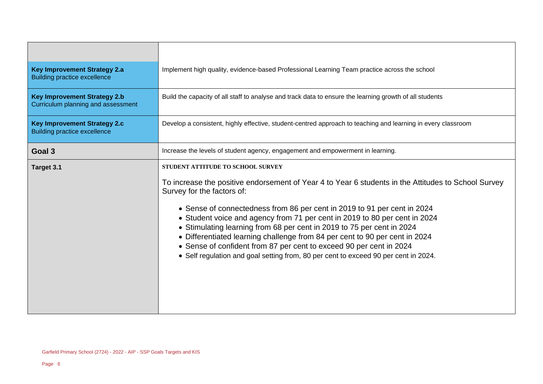| <b>Key Improvement Strategy 2.a</b><br><b>Building practice excellence</b> | Implement high quality, evidence-based Professional Learning Team practice across the school                                                                                                                                                                                                                                                                                                                                                                                                                                                                                                                                                            |
|----------------------------------------------------------------------------|---------------------------------------------------------------------------------------------------------------------------------------------------------------------------------------------------------------------------------------------------------------------------------------------------------------------------------------------------------------------------------------------------------------------------------------------------------------------------------------------------------------------------------------------------------------------------------------------------------------------------------------------------------|
| <b>Key Improvement Strategy 2.b</b><br>Curriculum planning and assessment  | Build the capacity of all staff to analyse and track data to ensure the learning growth of all students                                                                                                                                                                                                                                                                                                                                                                                                                                                                                                                                                 |
| <b>Key Improvement Strategy 2.c</b><br><b>Building practice excellence</b> | Develop a consistent, highly effective, student-centred approach to teaching and learning in every classroom                                                                                                                                                                                                                                                                                                                                                                                                                                                                                                                                            |
| Goal 3                                                                     | Increase the levels of student agency, engagement and empowerment in learning.                                                                                                                                                                                                                                                                                                                                                                                                                                                                                                                                                                          |
| Target 3.1                                                                 | STUDENT ATTITUDE TO SCHOOL SURVEY<br>To increase the positive endorsement of Year 4 to Year 6 students in the Attitudes to School Survey<br>Survey for the factors of:<br>• Sense of connectedness from 86 per cent in 2019 to 91 per cent in 2024<br>• Student voice and agency from 71 per cent in 2019 to 80 per cent in 2024<br>• Stimulating learning from 68 per cent in 2019 to 75 per cent in 2024<br>• Differentiated learning challenge from 84 per cent to 90 per cent in 2024<br>• Sense of confident from 87 per cent to exceed 90 per cent in 2024<br>• Self regulation and goal setting from, 80 per cent to exceed 90 per cent in 2024. |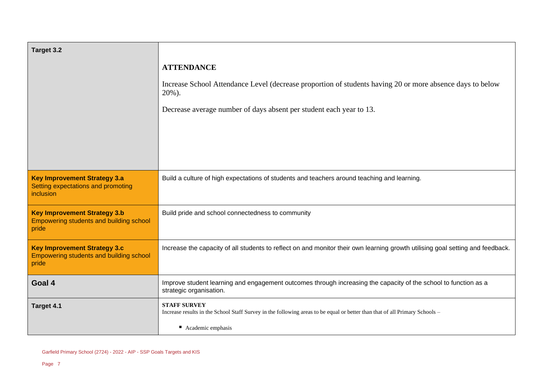| Target 3.2                                                                                     |                                                                                                                                                    |
|------------------------------------------------------------------------------------------------|----------------------------------------------------------------------------------------------------------------------------------------------------|
|                                                                                                | <b>ATTENDANCE</b>                                                                                                                                  |
|                                                                                                | Increase School Attendance Level (decrease proportion of students having 20 or more absence days to below<br>$20\%$ ).                             |
|                                                                                                | Decrease average number of days absent per student each year to 13.                                                                                |
|                                                                                                |                                                                                                                                                    |
|                                                                                                |                                                                                                                                                    |
|                                                                                                |                                                                                                                                                    |
| <b>Key Improvement Strategy 3.a</b><br>Setting expectations and promoting<br>inclusion         | Build a culture of high expectations of students and teachers around teaching and learning.                                                        |
| <b>Key Improvement Strategy 3.b</b><br><b>Empowering students and building school</b><br>pride | Build pride and school connectedness to community                                                                                                  |
| <b>Key Improvement Strategy 3.c</b><br><b>Empowering students and building school</b><br>pride | Increase the capacity of all students to reflect on and monitor their own learning growth utilising goal setting and feedback.                     |
| Goal 4                                                                                         | Improve student learning and engagement outcomes through increasing the capacity of the school to function as a<br>strategic organisation.         |
| Target 4.1                                                                                     | <b>STAFF SURVEY</b><br>Increase results in the School Staff Survey in the following areas to be equal or better than that of all Primary Schools - |
|                                                                                                | ■ Academic emphasis                                                                                                                                |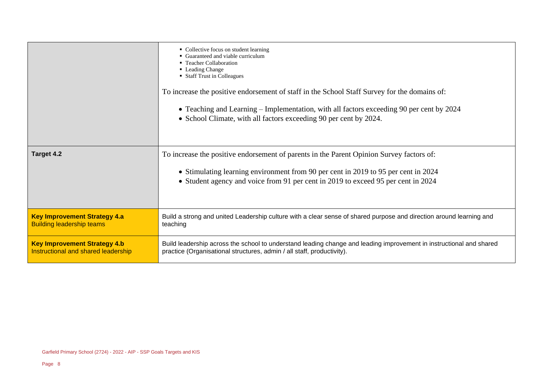|                                     | • Collective focus on student learning<br>• Guaranteed and viable curriculum<br>• Teacher Collaboration<br>• Leading Change<br>• Staff Trust in Colleagues<br>To increase the positive endorsement of staff in the School Staff Survey for the domains of:<br>• Teaching and Learning – Implementation, with all factors exceeding 90 per cent by 2024<br>• School Climate, with all factors exceeding 90 per cent by 2024. |
|-------------------------------------|-----------------------------------------------------------------------------------------------------------------------------------------------------------------------------------------------------------------------------------------------------------------------------------------------------------------------------------------------------------------------------------------------------------------------------|
| Target 4.2                          | To increase the positive endorsement of parents in the Parent Opinion Survey factors of:<br>• Stimulating learning environment from 90 per cent in 2019 to 95 per cent in 2024<br>• Student agency and voice from 91 per cent in 2019 to exceed 95 per cent in 2024                                                                                                                                                         |
| <b>Key Improvement Strategy 4.a</b> | Build a strong and united Leadership culture with a clear sense of shared purpose and direction around learning and                                                                                                                                                                                                                                                                                                         |
| <b>Building leadership teams</b>    | teaching                                                                                                                                                                                                                                                                                                                                                                                                                    |
| <b>Key Improvement Strategy 4.b</b> | Build leadership across the school to understand leading change and leading improvement in instructional and shared                                                                                                                                                                                                                                                                                                         |
| Instructional and shared leadership | practice (Organisational structures, admin / all staff, productivity).                                                                                                                                                                                                                                                                                                                                                      |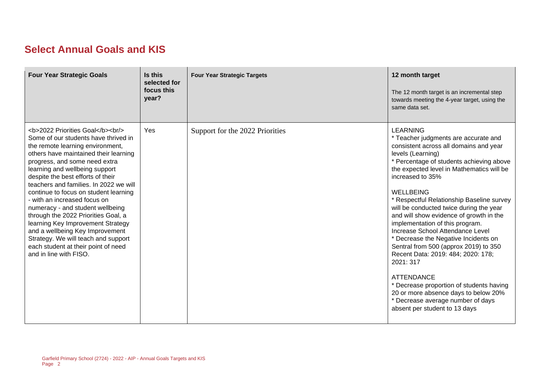# **Select Annual Goals and KIS**

| <b>Four Year Strategic Goals</b>                                                                                                                                                              | Is this<br>selected for<br>focus this<br>year? | <b>Four Year Strategic Targets</b> | 12 month target<br>The 12 month target is an incremental step<br>towards meeting the 4-year target, using the<br>same data set.                                                                                                                                                                                                                                                                                                                                                                                                                                                                                                                                                                                                                                                      |
|-----------------------------------------------------------------------------------------------------------------------------------------------------------------------------------------------|------------------------------------------------|------------------------------------|--------------------------------------------------------------------------------------------------------------------------------------------------------------------------------------------------------------------------------------------------------------------------------------------------------------------------------------------------------------------------------------------------------------------------------------------------------------------------------------------------------------------------------------------------------------------------------------------------------------------------------------------------------------------------------------------------------------------------------------------------------------------------------------|
| <b>2022 Priorities Goal</b><br><br><br>Some of our students have thrived in<br>the remote learning environment,<br>others have maintained their learning<br>progress, and some need extra<br> | Yes                                            | Support for the 2022 Priorities    | <b>LEARNING</b><br>* Teacher judgments are accurate and<br>consistent across all domains and year<br>levels (Learning)<br>* Percentage of students achieving above<br>the expected level in Mathematics will be<br>increased to 35%<br><b>WELLBEING</b><br>* Respectful Relationship Baseline survey<br>will be conducted twice during the year<br>and will show evidence of growth in the<br>implementation of this program.<br>Increase School Attendance Level<br>* Decrease the Negative Incidents on<br>Sentral from 500 (approx 2019) to 350<br>Recent Data: 2019: 484; 2020: 178;<br>2021: 317<br><b>ATTENDANCE</b><br>* Decrease proportion of students having<br>20 or more absence days to below 20%<br>* Decrease average number of days<br>absent per student to 13 days |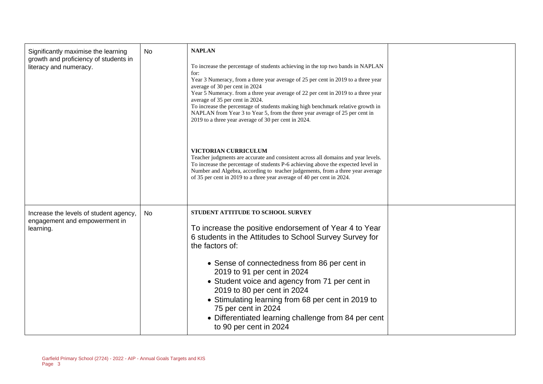| Significantly maximise the learning<br>growth and proficiency of students in<br>literacy and numeracy. | No | <b>NAPLAN</b><br>To increase the percentage of students achieving in the top two bands in NAPLAN<br>for:<br>Year 3 Numeracy, from a three year average of 25 per cent in 2019 to a three year<br>average of 30 per cent in 2024<br>Year 5 Numeracy. from a three year average of 22 per cent in 2019 to a three year<br>average of 35 per cent in 2024.<br>To increase the percentage of students making high benchmark relative growth in<br>NAPLAN from Year 3 to Year 5, from the three year average of 25 per cent in<br>2019 to a three year average of 30 per cent in 2024.<br>VICTORIAN CURRICULUM<br>Teacher judgments are accurate and consistent across all domains and year levels.<br>To increase the percentage of students P-6 achieving above the expected level in<br>Number and Algebra, according to teacher judgements, from a three year average<br>of 35 per cent in 2019 to a three year average of 40 per cent in 2024. |  |
|--------------------------------------------------------------------------------------------------------|----|------------------------------------------------------------------------------------------------------------------------------------------------------------------------------------------------------------------------------------------------------------------------------------------------------------------------------------------------------------------------------------------------------------------------------------------------------------------------------------------------------------------------------------------------------------------------------------------------------------------------------------------------------------------------------------------------------------------------------------------------------------------------------------------------------------------------------------------------------------------------------------------------------------------------------------------------|--|
| Increase the levels of student agency,<br>engagement and empowerment in<br>learning.                   | No | STUDENT ATTITUDE TO SCHOOL SURVEY<br>To increase the positive endorsement of Year 4 to Year<br>6 students in the Attitudes to School Survey Survey for<br>the factors of:<br>• Sense of connectedness from 86 per cent in<br>2019 to 91 per cent in 2024<br>• Student voice and agency from 71 per cent in<br>2019 to 80 per cent in 2024<br>• Stimulating learning from 68 per cent in 2019 to<br>75 per cent in 2024<br>• Differentiated learning challenge from 84 per cent<br>to 90 per cent in 2024                                                                                                                                                                                                                                                                                                                                                                                                                                       |  |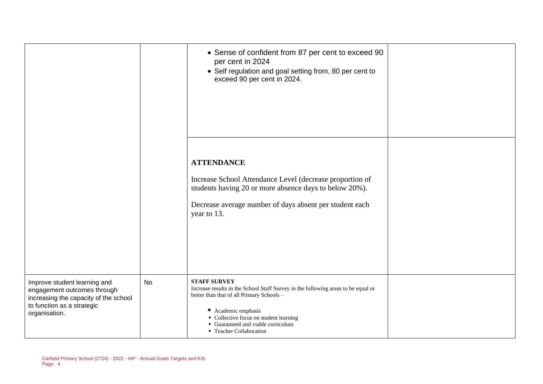|                                                                                                                                                     |           | • Sense of confident from 87 per cent to exceed 90<br>per cent in 2024<br>• Self regulation and goal setting from, 80 per cent to<br>exceed 90 per cent in 2024.                                                                                                                      |  |
|-----------------------------------------------------------------------------------------------------------------------------------------------------|-----------|---------------------------------------------------------------------------------------------------------------------------------------------------------------------------------------------------------------------------------------------------------------------------------------|--|
|                                                                                                                                                     |           | <b>ATTENDANCE</b><br>Increase School Attendance Level (decrease proportion of<br>students having 20 or more absence days to below 20%).<br>Decrease average number of days absent per student each<br>year to 13.                                                                     |  |
| Improve student learning and<br>engagement outcomes through<br>increasing the capacity of the school<br>to function as a strategic<br>organisation. | <b>No</b> | <b>STAFF SURVEY</b><br>Increase results in the School Staff Survey in the following areas to be equal or<br>better than that of all Primary Schools -<br>Academic emphasis<br>• Collective focus on student learning<br>• Guaranteed and viable curriculum<br>• Teacher Collaboration |  |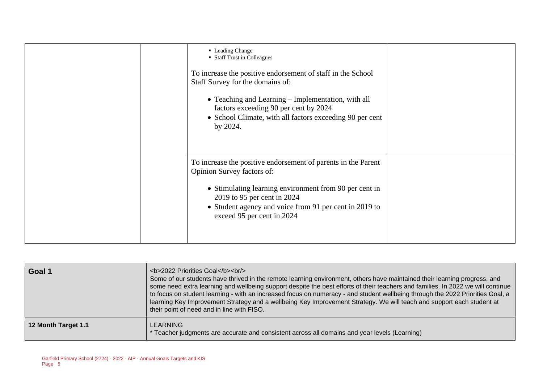| • Leading Change<br>• Staff Trust in Colleagues<br>To increase the positive endorsement of staff in the School<br>Staff Survey for the domains of:<br>• Teaching and Learning – Implementation, with all<br>factors exceeding 90 per cent by 2024<br>• School Climate, with all factors exceeding 90 per cent<br>by 2024. |  |
|---------------------------------------------------------------------------------------------------------------------------------------------------------------------------------------------------------------------------------------------------------------------------------------------------------------------------|--|
| To increase the positive endorsement of parents in the Parent<br>Opinion Survey factors of:<br>• Stimulating learning environment from 90 per cent in<br>2019 to 95 per cent in 2024<br>• Student agency and voice from 91 per cent in 2019 to<br>exceed 95 per cent in 2024                                              |  |

| ∣ Goal 1            | <b>2022 Priorities Goal</b><br><br><br>Some of our students have thrived in the remote learning environment, others have maintained their learning progress, and<br>some need extra learning and wellbeing support despite the best efforts of their teachers and families. In 2022 we will continue<br>to focus on student learning - with an increased focus on numeracy - and student wellbeing through the 2022 Priorities Goal, a<br>learning Key Improvement Strategy and a wellbeing Key Improvement Strategy. We will teach and support each student at<br>their point of need and in line with FISO. |
|---------------------|---------------------------------------------------------------------------------------------------------------------------------------------------------------------------------------------------------------------------------------------------------------------------------------------------------------------------------------------------------------------------------------------------------------------------------------------------------------------------------------------------------------------------------------------------------------------------------------------------------------|
| 12 Month Target 1.1 | LEARNING<br>* Teacher judgments are accurate and consistent across all domains and year levels (Learning)                                                                                                                                                                                                                                                                                                                                                                                                                                                                                                     |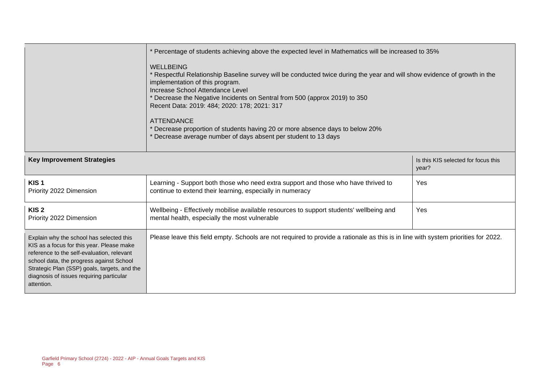|                                                                                                                                                                                                                                                                                           | Percentage of students achieving above the expected level in Mathematics will be increased to 35%                                                                                                                                                                                                                                                                                                                                                                                                                   |                                              |  |  |  |
|-------------------------------------------------------------------------------------------------------------------------------------------------------------------------------------------------------------------------------------------------------------------------------------------|---------------------------------------------------------------------------------------------------------------------------------------------------------------------------------------------------------------------------------------------------------------------------------------------------------------------------------------------------------------------------------------------------------------------------------------------------------------------------------------------------------------------|----------------------------------------------|--|--|--|
|                                                                                                                                                                                                                                                                                           | <b>WELLBEING</b><br>Respectful Relationship Baseline survey will be conducted twice during the year and will show evidence of growth in the<br>implementation of this program.<br>Increase School Attendance Level<br>Decrease the Negative Incidents on Sentral from 500 (approx 2019) to 350<br>Recent Data: 2019: 484; 2020: 178; 2021: 317<br><b>ATTENDANCE</b><br>Decrease proportion of students having 20 or more absence days to below 20%<br>Decrease average number of days absent per student to 13 days |                                              |  |  |  |
| <b>Key Improvement Strategies</b>                                                                                                                                                                                                                                                         |                                                                                                                                                                                                                                                                                                                                                                                                                                                                                                                     | Is this KIS selected for focus this<br>year? |  |  |  |
| KIS <sub>1</sub><br>Priority 2022 Dimension                                                                                                                                                                                                                                               | Learning - Support both those who need extra support and those who have thrived to<br>continue to extend their learning, especially in numeracy                                                                                                                                                                                                                                                                                                                                                                     | Yes                                          |  |  |  |
| KIS <sub>2</sub><br>Priority 2022 Dimension                                                                                                                                                                                                                                               | Wellbeing - Effectively mobilise available resources to support students' wellbeing and<br>mental health, especially the most vulnerable                                                                                                                                                                                                                                                                                                                                                                            | Yes                                          |  |  |  |
| Explain why the school has selected this<br>KIS as a focus for this year. Please make<br>reference to the self-evaluation, relevant<br>school data, the progress against School<br>Strategic Plan (SSP) goals, targets, and the<br>diagnosis of issues requiring particular<br>attention. | Please leave this field empty. Schools are not required to provide a rationale as this is in line with system priorities for 2022.                                                                                                                                                                                                                                                                                                                                                                                  |                                              |  |  |  |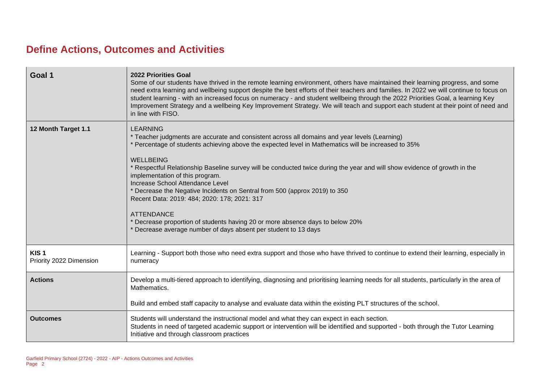# **Define Actions, Outcomes and Activities**

| Goal 1                                      | <b>2022 Priorities Goal</b><br>Some of our students have thrived in the remote learning environment, others have maintained their learning progress, and some<br>need extra learning and wellbeing support despite the best efforts of their teachers and families. In 2022 we will continue to focus on<br>student learning - with an increased focus on numeracy - and student wellbeing through the 2022 Priorities Goal, a learning Key<br>Improvement Strategy and a wellbeing Key Improvement Strategy. We will teach and support each student at their point of need and<br>in line with FISO.                                                                                                                                                  |
|---------------------------------------------|--------------------------------------------------------------------------------------------------------------------------------------------------------------------------------------------------------------------------------------------------------------------------------------------------------------------------------------------------------------------------------------------------------------------------------------------------------------------------------------------------------------------------------------------------------------------------------------------------------------------------------------------------------------------------------------------------------------------------------------------------------|
| 12 Month Target 1.1                         | <b>LEARNING</b><br>* Teacher judgments are accurate and consistent across all domains and year levels (Learning)<br>* Percentage of students achieving above the expected level in Mathematics will be increased to 35%<br><b>WELLBEING</b><br>* Respectful Relationship Baseline survey will be conducted twice during the year and will show evidence of growth in the<br>implementation of this program.<br>Increase School Attendance Level<br>* Decrease the Negative Incidents on Sentral from 500 (approx 2019) to 350<br>Recent Data: 2019: 484; 2020: 178; 2021: 317<br><b>ATTENDANCE</b><br>* Decrease proportion of students having 20 or more absence days to below 20%<br>* Decrease average number of days absent per student to 13 days |
| KIS <sub>1</sub><br>Priority 2022 Dimension | Learning - Support both those who need extra support and those who have thrived to continue to extend their learning, especially in<br>numeracy                                                                                                                                                                                                                                                                                                                                                                                                                                                                                                                                                                                                        |
| <b>Actions</b>                              | Develop a multi-tiered approach to identifying, diagnosing and prioritising learning needs for all students, particularly in the area of<br>Mathematics.<br>Build and embed staff capacity to analyse and evaluate data within the existing PLT structures of the school.                                                                                                                                                                                                                                                                                                                                                                                                                                                                              |
| <b>Outcomes</b>                             | Students will understand the instructional model and what they can expect in each section.<br>Students in need of targeted academic support or intervention will be identified and supported - both through the Tutor Learning<br>Initiative and through classroom practices                                                                                                                                                                                                                                                                                                                                                                                                                                                                           |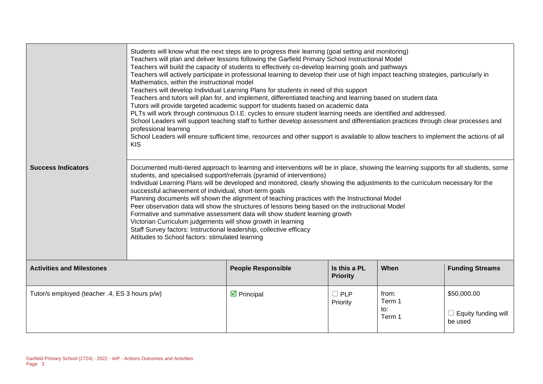|                                               | Students will know what the next steps are to progress their learning (goal setting and monitoring)<br>Teachers will plan and deliver lessons following the Garfield Primary School Instructional Model<br>Teachers will build the capacity of students to effectively co-develop learning goals and pathways<br>Teachers will actively participate in professional learning to develop their use of high impact teaching strategies, particularly in<br>Mathematics, within the instructional model<br>Teachers will develop Individual Learning Plans for students in need of this support<br>Teachers and tutors will plan for, and implement, differentiated teaching and learning based on student data<br>Tutors will provide targeted academic support for students based on academic data<br>PLTs will work through continuous D.I.E. cycles to ensure student learning needs are identified and addressed.<br>School Leaders will support teaching staff to further develop assessment and differentiation practices through clear processes and<br>professional learning<br>School Leaders will ensure sufficient time, resources and other support is available to allow teachers to implement the actions of all<br><b>KIS</b> |                            |                        |                                  |                                                      |
|-----------------------------------------------|--------------------------------------------------------------------------------------------------------------------------------------------------------------------------------------------------------------------------------------------------------------------------------------------------------------------------------------------------------------------------------------------------------------------------------------------------------------------------------------------------------------------------------------------------------------------------------------------------------------------------------------------------------------------------------------------------------------------------------------------------------------------------------------------------------------------------------------------------------------------------------------------------------------------------------------------------------------------------------------------------------------------------------------------------------------------------------------------------------------------------------------------------------------------------------------------------------------------------------------------|----------------------------|------------------------|----------------------------------|------------------------------------------------------|
| <b>Success Indicators</b>                     | Documented multi-tiered approach to learning and interventions will be in place, showing the learning supports for all students, some<br>students, and specialised support/referrals (pyramid of interventions)<br>Individual Learning Plans will be developed and monitored, clearly showing the adjustments to the curriculum necessary for the<br>successful achievement of individual, short-term goals<br>Planning documents will shown the alignment of teaching practices with the Instructional Model<br>Peer observation data will show the structures of lessons being based on the instructional Model<br>Formative and summative assessment data will show student learning growth<br>Victorian Curriculum judgements will show growth in learning<br>Staff Survey factors: Instructional leadership, collective efficacy<br>Attitudes to School factors: stimulated learning                                                                                                                                                                                                                                                                                                                                                  |                            |                        |                                  |                                                      |
| <b>Activities and Milestones</b>              | Is this a PL<br>When<br><b>Funding Streams</b><br><b>People Responsible</b><br><b>Priority</b>                                                                                                                                                                                                                                                                                                                                                                                                                                                                                                                                                                                                                                                                                                                                                                                                                                                                                                                                                                                                                                                                                                                                             |                            |                        |                                  |                                                      |
| Tutor/s employed (teacher .4, ES 3 hours p/w) |                                                                                                                                                                                                                                                                                                                                                                                                                                                                                                                                                                                                                                                                                                                                                                                                                                                                                                                                                                                                                                                                                                                                                                                                                                            | $\triangleright$ Principal | $\Box$ PLP<br>Priority | from:<br>Term 1<br>to:<br>Term 1 | \$50,000.00<br>$\Box$ Equity funding will<br>be used |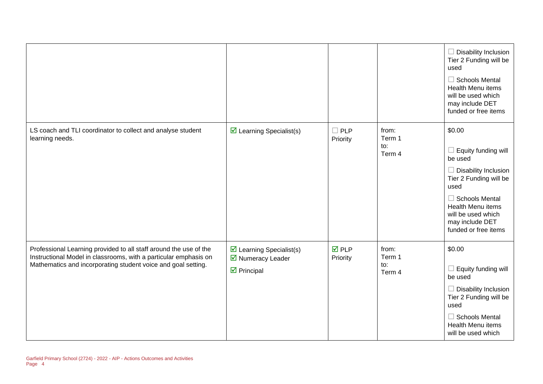|                                                                                                                                                                                                        |                                                                                       |                                |                                  | $\Box$ Disability Inclusion<br>Tier 2 Funding will be<br>used<br>$\Box$ Schools Mental<br><b>Health Menu items</b><br>will be used which<br>may include DET<br>funded or free items                                                    |
|--------------------------------------------------------------------------------------------------------------------------------------------------------------------------------------------------------|---------------------------------------------------------------------------------------|--------------------------------|----------------------------------|----------------------------------------------------------------------------------------------------------------------------------------------------------------------------------------------------------------------------------------|
| LS coach and TLI coordinator to collect and analyse student<br>learning needs.                                                                                                                         | $\triangleright$ Learning Specialist(s)                                               | $\Box$ PLP<br>Priority         | from:<br>Term 1<br>to:<br>Term 4 | \$0.00<br>$\Box$ Equity funding will<br>be used<br>$\Box$ Disability Inclusion<br>Tier 2 Funding will be<br>used<br>$\Box$ Schools Mental<br><b>Health Menu items</b><br>will be used which<br>may include DET<br>funded or free items |
| Professional Learning provided to all staff around the use of the<br>Instructional Model in classrooms, with a particular emphasis on<br>Mathematics and incorporating student voice and goal setting. | $\boxtimes$ Learning Specialist(s)<br>■ Numeracy Leader<br>$\triangleright$ Principal | $\overline{M}$ PLP<br>Priority | from:<br>Term 1<br>to:<br>Term 4 | \$0.00<br>$\Box$ Equity funding will<br>be used<br>$\Box$ Disability Inclusion<br>Tier 2 Funding will be<br>used<br>$\Box$ Schools Mental<br><b>Health Menu items</b><br>will be used which                                            |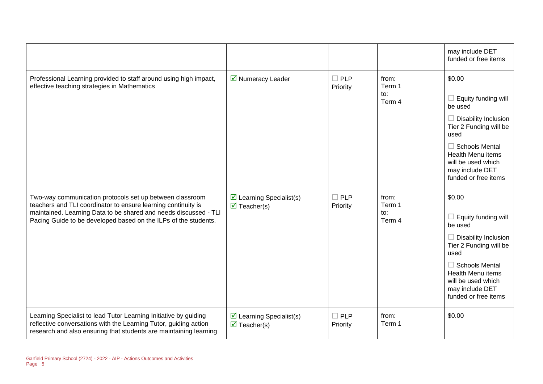|                                                                                                                                                                                                                                                                  |                                                                       |                        |                                  | may include DET<br>funded or free items                                                                                                                                                                                                |
|------------------------------------------------------------------------------------------------------------------------------------------------------------------------------------------------------------------------------------------------------------------|-----------------------------------------------------------------------|------------------------|----------------------------------|----------------------------------------------------------------------------------------------------------------------------------------------------------------------------------------------------------------------------------------|
| Professional Learning provided to staff around using high impact,<br>effective teaching strategies in Mathematics                                                                                                                                                | ■ Numeracy Leader                                                     | $\Box$ PLP<br>Priority | from:<br>Term 1<br>to:<br>Term 4 | \$0.00<br>$\Box$ Equity funding will<br>be used<br>$\Box$ Disability Inclusion<br>Tier 2 Funding will be<br>used<br>$\Box$ Schools Mental<br><b>Health Menu items</b><br>will be used which<br>may include DET<br>funded or free items |
| Two-way communication protocols set up between classroom<br>teachers and TLI coordinator to ensure learning continuity is<br>maintained. Learning Data to be shared and needs discussed - TLI<br>Pacing Guide to be developed based on the ILPs of the students. | $\triangleright$ Learning Specialist(s)<br>$\triangledown$ Teacher(s) | $\Box$ PLP<br>Priority | from:<br>Term 1<br>to:<br>Term 4 | \$0.00<br>$\Box$ Equity funding will<br>be used<br>$\Box$ Disability Inclusion<br>Tier 2 Funding will be<br>used<br>$\Box$ Schools Mental<br><b>Health Menu items</b><br>will be used which<br>may include DET<br>funded or free items |
| Learning Specialist to lead Tutor Learning Initiative by guiding<br>reflective conversations with the Learning Tutor, guiding action<br>research and also ensuring that students are maintaining learning                                                        | $\triangleright$ Learning Specialist(s)<br>$\triangledown$ Teacher(s) | $\Box$ PLP<br>Priority | from:<br>Term 1                  | \$0.00                                                                                                                                                                                                                                 |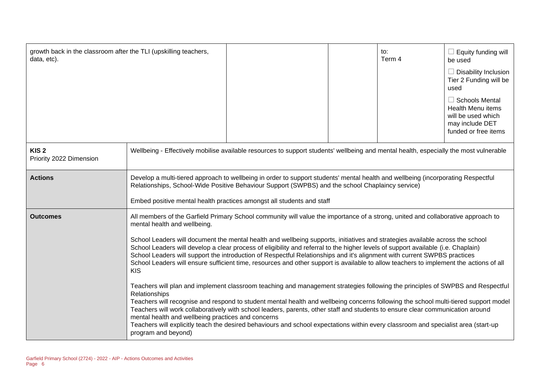| growth back in the classroom after the TLI (upskilling teachers,<br>data, etc). |                                                                                                                                                                                                                                                                                                               |                                                                                                                                                                                                                                                                                                                                                                                                                                                                                                                                                                                                                                                                                                                                                                                                                                                                                                                                                                                                                                                                                                                                                                                                                               |  | to:<br>Term 4 | $\Box$ Equity funding will<br>be used<br>$\Box$ Disability Inclusion<br>Tier 2 Funding will be<br>used<br>$\Box$ Schools Mental<br>Health Menu items<br>will be used which<br>may include DET<br>funded or free items |
|---------------------------------------------------------------------------------|---------------------------------------------------------------------------------------------------------------------------------------------------------------------------------------------------------------------------------------------------------------------------------------------------------------|-------------------------------------------------------------------------------------------------------------------------------------------------------------------------------------------------------------------------------------------------------------------------------------------------------------------------------------------------------------------------------------------------------------------------------------------------------------------------------------------------------------------------------------------------------------------------------------------------------------------------------------------------------------------------------------------------------------------------------------------------------------------------------------------------------------------------------------------------------------------------------------------------------------------------------------------------------------------------------------------------------------------------------------------------------------------------------------------------------------------------------------------------------------------------------------------------------------------------------|--|---------------|-----------------------------------------------------------------------------------------------------------------------------------------------------------------------------------------------------------------------|
| KIS <sub>2</sub><br>Priority 2022 Dimension                                     | Wellbeing - Effectively mobilise available resources to support students' wellbeing and mental health, especially the most vulnerable                                                                                                                                                                         |                                                                                                                                                                                                                                                                                                                                                                                                                                                                                                                                                                                                                                                                                                                                                                                                                                                                                                                                                                                                                                                                                                                                                                                                                               |  |               |                                                                                                                                                                                                                       |
| <b>Actions</b>                                                                  | Develop a multi-tiered approach to wellbeing in order to support students' mental health and wellbeing (incorporating Respectful<br>Relationships, School-Wide Positive Behaviour Support (SWPBS) and the school Chaplaincy service)<br>Embed positive mental health practices amongst all students and staff |                                                                                                                                                                                                                                                                                                                                                                                                                                                                                                                                                                                                                                                                                                                                                                                                                                                                                                                                                                                                                                                                                                                                                                                                                               |  |               |                                                                                                                                                                                                                       |
| <b>Outcomes</b>                                                                 | mental health and wellbeing.<br><b>KIS</b><br>Relationships<br>mental health and wellbeing practices and concerns<br>program and beyond)                                                                                                                                                                      | All members of the Garfield Primary School community will value the importance of a strong, united and collaborative approach to<br>School Leaders will document the mental health and wellbeing supports, initiatives and strategies available across the school<br>School Leaders will develop a clear process of eligibility and referral to the higher levels of support available (i.e. Chaplain)<br>School Leaders will support the introduction of Respectful Relationships and it's alignment with current SWPBS practices<br>School Leaders will ensure sufficient time, resources and other support is available to allow teachers to implement the actions of all<br>Teachers will plan and implement classroom teaching and management strategies following the principles of SWPBS and Respectful<br>Teachers will recognise and respond to student mental health and wellbeing concerns following the school multi-tiered support model<br>Teachers will work collaboratively with school leaders, parents, other staff and students to ensure clear communication around<br>Teachers will explicitly teach the desired behaviours and school expectations within every classroom and specialist area (start-up |  |               |                                                                                                                                                                                                                       |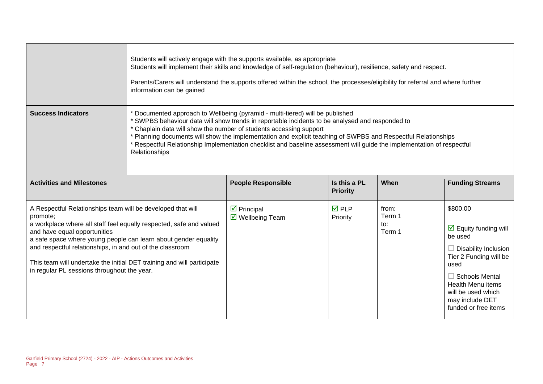|                                                                                                                                                                                                                                                                                                                                                                                                                                         | Students will actively engage with the supports available, as appropriate<br>Students will implement their skills and knowledge of self-regulation (behaviour), resilience, safety and respect.<br>Parents/Carers will understand the supports offered within the school, the processes/eligibility for referral and where further<br>information can be gained                                                                                                                                                    |                                                             |                                 |                                  |                                                                                                                                                                                                                                                    |
|-----------------------------------------------------------------------------------------------------------------------------------------------------------------------------------------------------------------------------------------------------------------------------------------------------------------------------------------------------------------------------------------------------------------------------------------|--------------------------------------------------------------------------------------------------------------------------------------------------------------------------------------------------------------------------------------------------------------------------------------------------------------------------------------------------------------------------------------------------------------------------------------------------------------------------------------------------------------------|-------------------------------------------------------------|---------------------------------|----------------------------------|----------------------------------------------------------------------------------------------------------------------------------------------------------------------------------------------------------------------------------------------------|
| <b>Success Indicators</b>                                                                                                                                                                                                                                                                                                                                                                                                               | * Documented approach to Wellbeing (pyramid - multi-tiered) will be published<br>* SWPBS behaviour data will show trends in reportable incidents to be analysed and responded to<br>* Chaplain data will show the number of students accessing support<br>* Planning documents will show the implementation and explicit teaching of SWPBS and Respectful Relationships<br>* Respectful Relationship Implementation checklist and baseline assessment will guide the implementation of respectful<br>Relationships |                                                             |                                 |                                  |                                                                                                                                                                                                                                                    |
| <b>Activities and Milestones</b>                                                                                                                                                                                                                                                                                                                                                                                                        |                                                                                                                                                                                                                                                                                                                                                                                                                                                                                                                    | <b>People Responsible</b>                                   | Is this a PL<br><b>Priority</b> | When                             | <b>Funding Streams</b>                                                                                                                                                                                                                             |
| A Respectful Relationships team will be developed that will<br>promote;<br>a workplace where all staff feel equally respected, safe and valued<br>and have equal opportunities<br>a safe space where young people can learn about gender equality<br>and respectful relationships, in and out of the classroom<br>This team will undertake the initial DET training and will participate<br>in regular PL sessions throughout the year. |                                                                                                                                                                                                                                                                                                                                                                                                                                                                                                                    | $\triangledown$ Principal<br>$\triangledown$ Wellbeing Team | <b>☑</b> PLP<br>Priority        | from:<br>Term 1<br>to:<br>Term 1 | \$800.00<br>$\triangleright$ Equity funding will<br>be used<br>$\Box$ Disability Inclusion<br>Tier 2 Funding will be<br>used<br>$\Box$ Schools Mental<br><b>Health Menu items</b><br>will be used which<br>may include DET<br>funded or free items |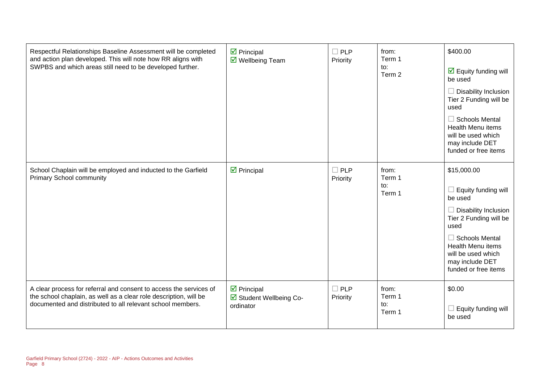| Respectful Relationships Baseline Assessment will be completed<br>and action plan developed. This will note how RR aligns with<br>SWPBS and which areas still need to be developed further.           | $\triangleright$ Principal<br>$\overline{\mathbf{M}}$ Wellbeing Team      | $\square$ PLP<br>Priority | from:<br>Term 1<br>to:<br>Term 2 | \$400.00<br>$\overline{\mathbf{y}}$ Equity funding will<br>be used<br>Disability Inclusion<br>Tier 2 Funding will be<br>used<br>$\Box$ Schools Mental<br><b>Health Menu items</b><br>will be used which<br>may include DET<br>funded or free items |
|-------------------------------------------------------------------------------------------------------------------------------------------------------------------------------------------------------|---------------------------------------------------------------------------|---------------------------|----------------------------------|----------------------------------------------------------------------------------------------------------------------------------------------------------------------------------------------------------------------------------------------------|
| School Chaplain will be employed and inducted to the Garfield<br><b>Primary School community</b>                                                                                                      | $\triangleright$ Principal                                                | $\Box$ PLP<br>Priority    | from:<br>Term 1<br>to:<br>Term 1 | \$15,000.00<br>Equity funding will<br>be used<br>Disability Inclusion<br>Tier 2 Funding will be<br>used<br>$\Box$ Schools Mental<br><b>Health Menu items</b><br>will be used which<br>may include DET<br>funded or free items                      |
| A clear process for referral and consent to access the services of<br>the school chaplain, as well as a clear role description, will be<br>documented and distributed to all relevant school members. | $\overline{\mathbf{y}}$ Principal<br>☑ Student Wellbeing Co-<br>ordinator | $\Box$ PLP<br>Priority    | from:<br>Term 1<br>to:<br>Term 1 | \$0.00<br>Equity funding will<br>be used                                                                                                                                                                                                           |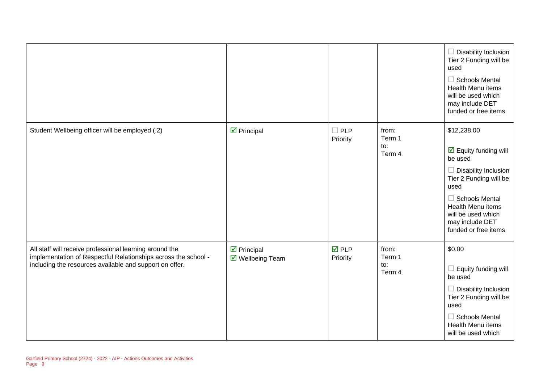|                                                                                                                                                                                      |                                                |                                |                                  | $\Box$ Disability Inclusion<br>Tier 2 Funding will be<br>used<br>$\Box$ Schools Mental<br>Health Menu items<br>will be used which<br>may include DET<br>funded or free items                                                                                 |
|--------------------------------------------------------------------------------------------------------------------------------------------------------------------------------------|------------------------------------------------|--------------------------------|----------------------------------|--------------------------------------------------------------------------------------------------------------------------------------------------------------------------------------------------------------------------------------------------------------|
| Student Wellbeing officer will be employed (.2)                                                                                                                                      | $\triangleright$ Principal                     | $\square$ PLP<br>Priority      | from:<br>Term 1<br>to:<br>Term 4 | \$12,238.00<br>$\overline{\mathbf{y}}$ Equity funding will<br>be used<br>$\Box$ Disability Inclusion<br>Tier 2 Funding will be<br>used<br>$\Box$ Schools Mental<br><b>Health Menu items</b><br>will be used which<br>may include DET<br>funded or free items |
| All staff will receive professional learning around the<br>implementation of Respectful Relationships across the school -<br>including the resources available and support on offer. | $\triangleright$ Principal<br>☑ Wellbeing Team | $\overline{M}$ PLP<br>Priority | from:<br>Term 1<br>to:<br>Term 4 | \$0.00<br>$\Box$ Equity funding will<br>be used<br>$\Box$ Disability Inclusion<br>Tier 2 Funding will be<br>used<br>$\Box$ Schools Mental<br>Health Menu items<br>will be used which                                                                         |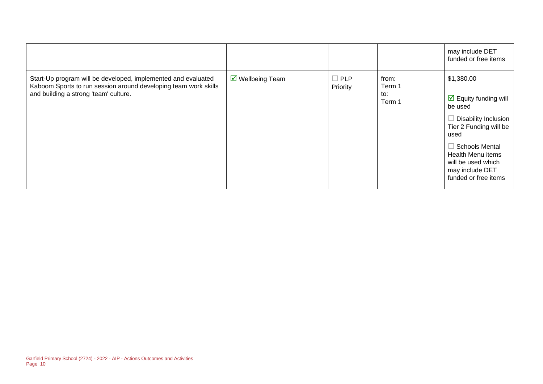|                                                                                                                                                                           |                                |                        |                                  | may include DET<br>funded or free items                                                                                                                                                                                                |
|---------------------------------------------------------------------------------------------------------------------------------------------------------------------------|--------------------------------|------------------------|----------------------------------|----------------------------------------------------------------------------------------------------------------------------------------------------------------------------------------------------------------------------------------|
| Start-Up program will be developed, implemented and evaluated<br>Kaboom Sports to run session around developing team work skills<br>and building a strong 'team' culture. | $\triangledown$ Wellbeing Team | $\Box$ PLP<br>Priority | from:<br>Term 1<br>to:<br>Term 1 | \$1,380.00<br>$\triangleright$ Equity funding will<br>be used<br>Disability Inclusion<br>Tier 2 Funding will be<br>used<br><b>Schools Mental</b><br>Health Menu items<br>will be used which<br>may include DET<br>funded or free items |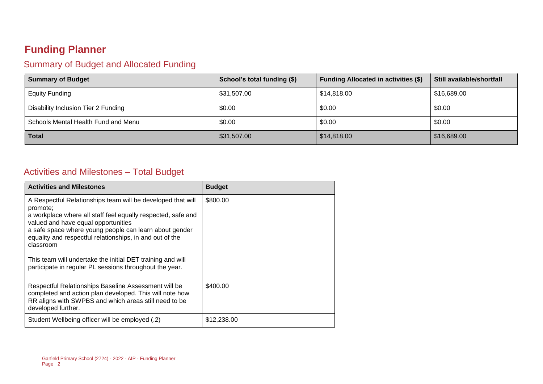# **Funding Planner**

## Summary of Budget and Allocated Funding

| <b>Summary of Budget</b>            | School's total funding (\$) | <b>Funding Allocated in activities (\$)</b> | Still available/shortfall |
|-------------------------------------|-----------------------------|---------------------------------------------|---------------------------|
| <b>Equity Funding</b>               | \$31,507.00                 | \$14,818.00                                 | \$16,689.00               |
| Disability Inclusion Tier 2 Funding | \$0.00                      | \$0.00                                      | \$0.00                    |
| Schools Mental Health Fund and Menu | \$0.00                      | \$0.00                                      | \$0.00                    |
| <b>Total</b>                        | \$31,507.00                 | \$14,818.00                                 | \$16,689.00               |

## Activities and Milestones – Total Budget

| <b>Activities and Milestones</b>                                                                                                                                                                                                                                                                                                                                                                                                           | <b>Budget</b> |
|--------------------------------------------------------------------------------------------------------------------------------------------------------------------------------------------------------------------------------------------------------------------------------------------------------------------------------------------------------------------------------------------------------------------------------------------|---------------|
| A Respectful Relationships team will be developed that will<br>promote;<br>a workplace where all staff feel equally respected, safe and<br>valued and have equal opportunities<br>a safe space where young people can learn about gender<br>equality and respectful relationships, in and out of the<br>classroom<br>This team will undertake the initial DET training and will<br>participate in regular PL sessions throughout the year. | \$800.00      |
| Respectful Relationships Baseline Assessment will be<br>completed and action plan developed. This will note how<br>RR aligns with SWPBS and which areas still need to be<br>developed further.                                                                                                                                                                                                                                             | \$400.00      |
| Student Wellbeing officer will be employed (.2)                                                                                                                                                                                                                                                                                                                                                                                            | \$12,238.00   |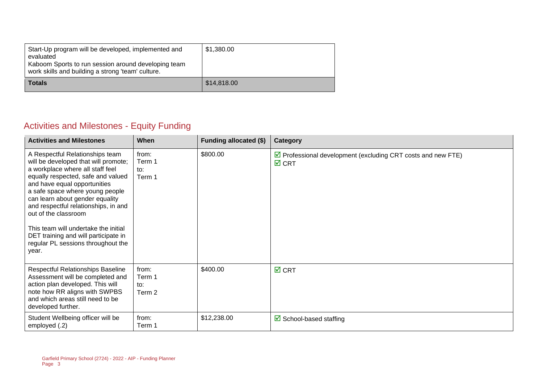| Start-Up program will be developed, implemented and<br>evaluated<br>Kaboom Sports to run session around developing team<br>work skills and building a strong 'team' culture. | \$1,380.00  |
|------------------------------------------------------------------------------------------------------------------------------------------------------------------------------|-------------|
| <b>Totals</b>                                                                                                                                                                | \$14,818.00 |

## Activities and Milestones - Equity Funding

| <b>Activities and Milestones</b>                                                                                                                                                                                                                                                                                                                                                                                                                       | When                             | <b>Funding allocated (\$)</b> | Category                                                                                          |
|--------------------------------------------------------------------------------------------------------------------------------------------------------------------------------------------------------------------------------------------------------------------------------------------------------------------------------------------------------------------------------------------------------------------------------------------------------|----------------------------------|-------------------------------|---------------------------------------------------------------------------------------------------|
| A Respectful Relationships team<br>will be developed that will promote;<br>a workplace where all staff feel<br>equally respected, safe and valued<br>and have equal opportunities<br>a safe space where young people<br>can learn about gender equality<br>and respectful relationships, in and<br>out of the classroom<br>This team will undertake the initial<br>DET training and will participate in<br>regular PL sessions throughout the<br>year. | from:<br>Term 1<br>to:<br>Term 1 | \$800.00                      | $\triangleright$ Professional development (excluding CRT costs and new FTE)<br>$\overline{M}$ CRT |
| <b>Respectful Relationships Baseline</b><br>Assessment will be completed and<br>action plan developed. This will<br>note how RR aligns with SWPBS<br>and which areas still need to be<br>developed further.                                                                                                                                                                                                                                            | from:<br>Term 1<br>to:<br>Term 2 | \$400.00                      | $\overline{M}$ CRT                                                                                |
| Student Wellbeing officer will be<br>employed (.2)                                                                                                                                                                                                                                                                                                                                                                                                     | from:<br>Term 1                  | \$12,238.00                   | $\triangleright$ School-based staffing                                                            |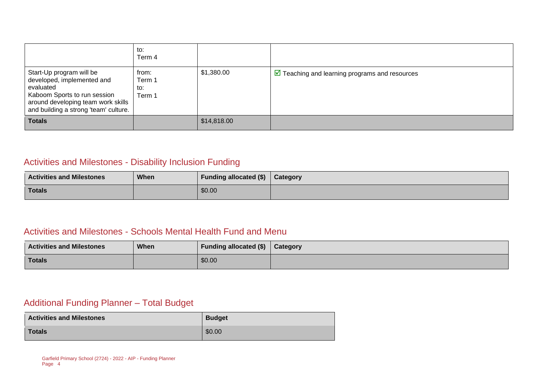|                                                                                                                                                                                    | to:<br>Term 4                    |             |                                                               |
|------------------------------------------------------------------------------------------------------------------------------------------------------------------------------------|----------------------------------|-------------|---------------------------------------------------------------|
| Start-Up program will be<br>developed, implemented and<br>evaluated<br>Kaboom Sports to run session<br>around developing team work skills<br>and building a strong 'team' culture. | from:<br>Term 1<br>to:<br>Term 1 | \$1,380.00  | $\triangleright$ Teaching and learning programs and resources |
| <b>Totals</b>                                                                                                                                                                      |                                  | \$14,818.00 |                                                               |

#### Activities and Milestones - Disability Inclusion Funding

| <b>Activities and Milestones</b> | <b>When</b> | Funding allocated (\$)   Category |  |
|----------------------------------|-------------|-----------------------------------|--|
| <b>Totals</b>                    |             | \$0.00                            |  |

#### Activities and Milestones - Schools Mental Health Fund and Menu

| <b>Activities and Milestones</b> | When | Funding allocated (\$) | Category |
|----------------------------------|------|------------------------|----------|
| <b>Totals</b>                    |      | \$0.00                 |          |

## Additional Funding Planner – Total Budget

| <b>Activities and Milestones</b> | <b>Budget</b> |
|----------------------------------|---------------|
| <b>Totals</b>                    | \$0.00        |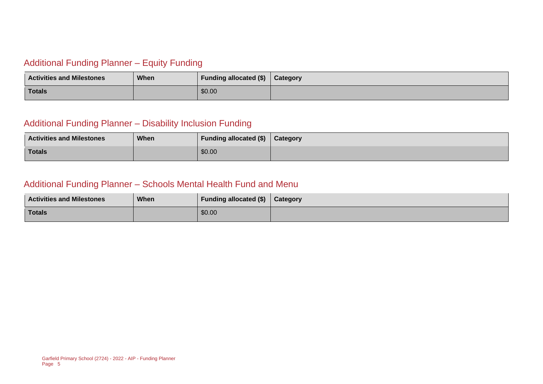#### Additional Funding Planner – Equity Funding

| <b>Activities and Milestones</b> | When | Funding allocated (\$) | Category |
|----------------------------------|------|------------------------|----------|
| Totals                           |      | \$0.00                 |          |

#### Additional Funding Planner – Disability Inclusion Funding

| <b>Activities and Milestones</b> | <b>When</b> | <b>Funding allocated (\$)</b> | <b>Category</b> |
|----------------------------------|-------------|-------------------------------|-----------------|
| <b>Totals</b>                    |             | \$0.00                        |                 |

#### Additional Funding Planner – Schools Mental Health Fund and Menu

| <b>Activities and Milestones</b> | <b>When</b> | Funding allocated $(\$)$   Category |  |
|----------------------------------|-------------|-------------------------------------|--|
| <b>Totals</b>                    |             | \$0.00                              |  |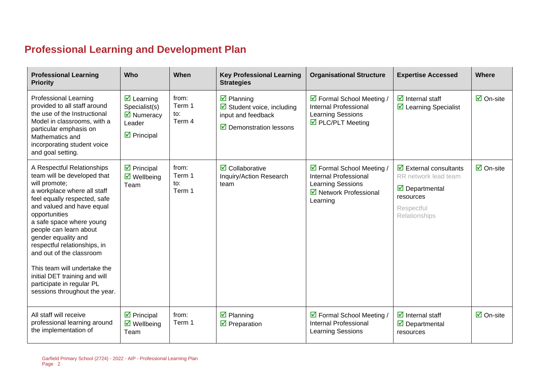# **Professional Learning and Development Plan**

| <b>Professional Learning</b><br><b>Priority</b>                                                                                                                                                                                                                                                                                                                                                                                                                 | <b>Who</b>                                                                                                                    | When                             | <b>Key Professional Learning</b><br><b>Strategies</b>                                                                                    | <b>Organisational Structure</b>                                                                                          | <b>Expertise Accessed</b>                                                                                                                                | Where                           |
|-----------------------------------------------------------------------------------------------------------------------------------------------------------------------------------------------------------------------------------------------------------------------------------------------------------------------------------------------------------------------------------------------------------------------------------------------------------------|-------------------------------------------------------------------------------------------------------------------------------|----------------------------------|------------------------------------------------------------------------------------------------------------------------------------------|--------------------------------------------------------------------------------------------------------------------------|----------------------------------------------------------------------------------------------------------------------------------------------------------|---------------------------------|
| <b>Professional Learning</b><br>provided to all staff around<br>the use of the Instructional<br>Model in classrooms, with a<br>particular emphasis on<br>Mathematics and<br>incorporating student voice<br>and goal setting.                                                                                                                                                                                                                                    | $\overline{\mathbf{z}}$ Learning<br>Specialist(s)<br>$\overline{\mathbf{M}}$ Numeracy<br>Leader<br>$\triangleright$ Principal | from:<br>Term 1<br>to:<br>Term 4 | $\overline{\mathbf{z}}$ Planning<br>$\boxtimes$ Student voice, including<br>input and feedback<br>$\triangleright$ Demonstration lessons | ☑ Formal School Meeting /<br><b>Internal Professional</b><br><b>Learning Sessions</b><br>$\triangledown$ PLC/PLT Meeting | $\overline{\mathbf{M}}$ Internal staff<br>$\triangleright$ Learning Specialist                                                                           | $\overline{\Box}$ On-site       |
| A Respectful Relationships<br>team will be developed that<br>will promote;<br>a workplace where all staff<br>feel equally respected, safe<br>and valued and have equal<br>opportunities<br>a safe space where young<br>people can learn about<br>gender equality and<br>respectful relationships, in<br>and out of the classroom<br>This team will undertake the<br>initial DET training and will<br>participate in regular PL<br>sessions throughout the year. | $\triangleright$ Principal<br>$\overline{\mathbf{M}}$ Wellbeing<br>Team                                                       | from:<br>Term 1<br>to:<br>Term 1 | $\overline{\mathbf{2}}$ Collaborative<br>Inquiry/Action Research<br>team                                                                 | ☑ Formal School Meeting /<br>Internal Professional<br><b>Learning Sessions</b><br>☑ Network Professional<br>Learning     | $\overline{\mathbf{z}}$ External consultants<br>RR network lead team<br>$\overline{\mathbf{y}}$ Departmental<br>resources<br>Respectful<br>Relationships | $\overline{\mathbf{2}}$ On-site |
| All staff will receive<br>professional learning around<br>the implementation of                                                                                                                                                                                                                                                                                                                                                                                 | $\triangleright$ Principal<br>$\triangledown$ Wellbeing<br>Team                                                               | from:<br>Term 1                  | $\overline{\mathbf{z}}$ Planning<br>$\triangledown$ Preparation                                                                          | ☑ Formal School Meeting /<br>Internal Professional<br><b>Learning Sessions</b>                                           | $\overline{\mathbf{z}}$ Internal staff<br>$\triangledown$ Departmental<br>resources                                                                      | $\overline{\mathsf{M}}$ On-site |